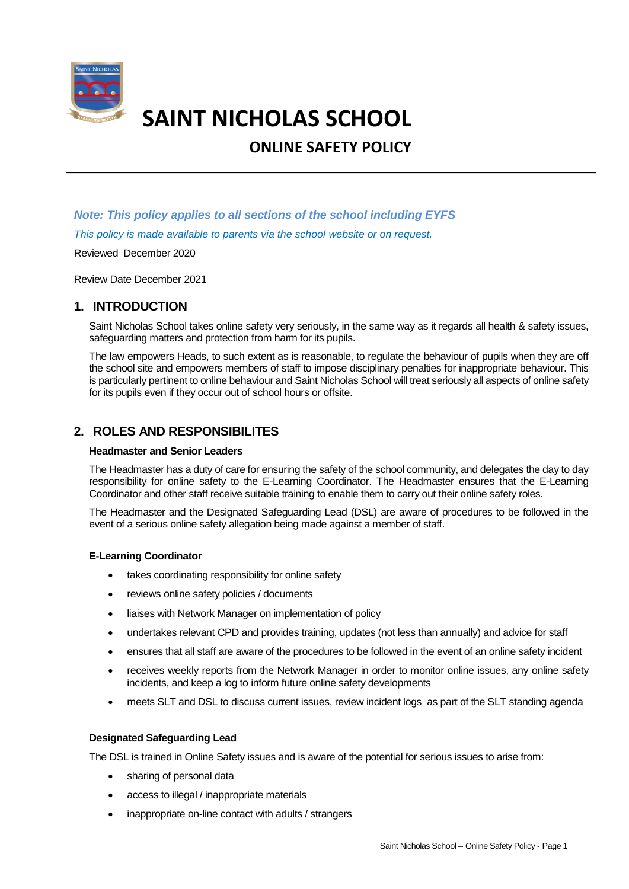

# **SAINT NICHOLAS SCHOOL**

## **ONLINE SAFETY POLICY**

## *Note: This policy applies to all sections of the school including EYFS This policy is made available to parents via the school website or on request.*

Reviewed December 2020

Review Date December 2021

## **1. INTRODUCTION**

Saint Nicholas School takes online safety very seriously, in the same way as it regards all health & safety issues, safeguarding matters and protection from harm for its pupils.

The law empowers Heads, to such extent as is reasonable, to regulate the behaviour of pupils when they are off the school site and empowers members of staff to impose disciplinary penalties for inappropriate behaviour. This is particularly pertinent to online behaviour and Saint Nicholas School will treat seriously all aspects of online safety for its pupils even if they occur out of school hours or offsite.

## **2. ROLES AND RESPONSIBILITES**

#### **Headmaster and Senior Leaders**

The Headmaster has a duty of care for ensuring the safety of the school community, and delegates the day to day responsibility for online safety to the E-Learning Coordinator. The Headmaster ensures that the E-Learning Coordinator and other staff receive suitable training to enable them to carry out their online safety roles.

The Headmaster and the Designated Safeguarding Lead (DSL) are aware of procedures to be followed in the event of a serious online safety allegation being made against a member of staff.

#### **E-Learning Coordinator**

- takes coordinating responsibility for online safety
- reviews online safety policies / documents
- liaises with Network Manager on implementation of policy
- undertakes relevant CPD and provides training, updates (not less than annually) and advice for staff
- ensures that all staff are aware of the procedures to be followed in the event of an online safety incident
- receives weekly reports from the Network Manager in order to monitor online issues, any online safety incidents, and keep a log to inform future online safety developments
- meets SLT and DSL to discuss current issues, review incident logs as part of the SLT standing agenda

#### **Designated Safeguarding Lead**

The DSL is trained in Online Safety issues and is aware of the potential for serious issues to arise from:

- sharing of personal data
- access to illegal / inappropriate materials
- inappropriate on-line contact with adults / strangers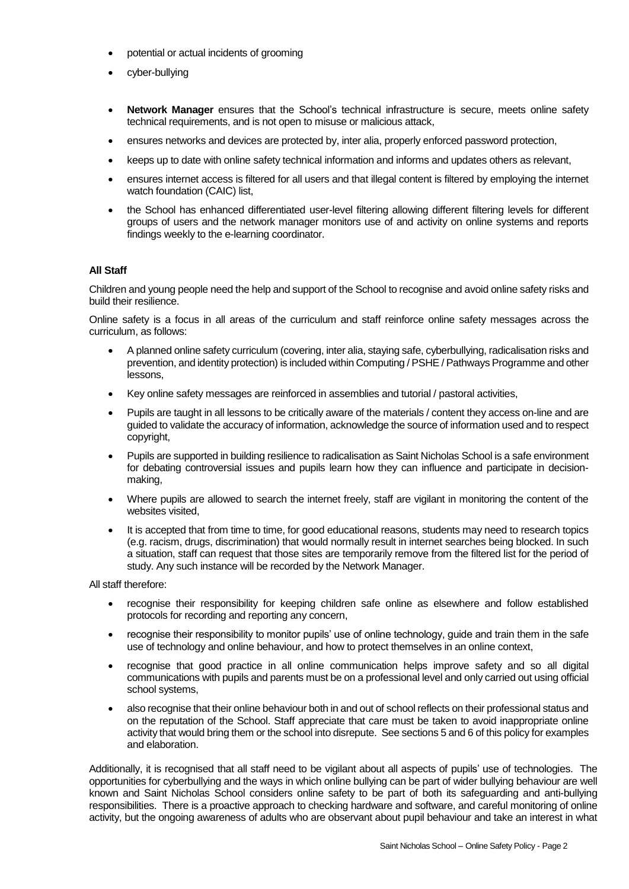- potential or actual incidents of grooming
- cyber-bullying
- **Network Manager** ensures that the School's technical infrastructure is secure, meets online safety technical requirements, and is not open to misuse or malicious attack,
- ensures networks and devices are protected by, inter alia, properly enforced password protection,
- keeps up to date with online safety technical information and informs and updates others as relevant,
- ensures internet access is filtered for all users and that illegal content is filtered by employing the internet watch foundation (CAIC) list,
- the School has enhanced differentiated user-level filtering allowing different filtering levels for different groups of users and the network manager monitors use of and activity on online systems and reports findings weekly to the e-learning coordinator.

#### **All Staff**

Children and young people need the help and support of the School to recognise and avoid online safety risks and build their resilience.

Online safety is a focus in all areas of the curriculum and staff reinforce online safety messages across the curriculum, as follows:

- A planned online safety curriculum (covering, inter alia, staying safe, cyberbullying, radicalisation risks and prevention, and identity protection) is included within Computing / PSHE / Pathways Programme and other lessons,
- Key online safety messages are reinforced in assemblies and tutorial / pastoral activities,
- Pupils are taught in all lessons to be critically aware of the materials / content they access on-line and are guided to validate the accuracy of information, acknowledge the source of information used and to respect copyright,
- Pupils are supported in building resilience to radicalisation as Saint Nicholas School is a safe environment for debating controversial issues and pupils learn how they can influence and participate in decisionmaking,
- Where pupils are allowed to search the internet freely, staff are vigilant in monitoring the content of the websites visited,
- It is accepted that from time to time, for good educational reasons, students may need to research topics (e.g. racism, drugs, discrimination) that would normally result in internet searches being blocked. In such a situation, staff can request that those sites are temporarily remove from the filtered list for the period of study. Any such instance will be recorded by the Network Manager.

All staff therefore:

- recognise their responsibility for keeping children safe online as elsewhere and follow established protocols for recording and reporting any concern,
- recognise their responsibility to monitor pupils' use of online technology, guide and train them in the safe use of technology and online behaviour, and how to protect themselves in an online context,
- recognise that good practice in all online communication helps improve safety and so all digital communications with pupils and parents must be on a professional level and only carried out using official school systems,
- also recognise that their online behaviour both in and out of school reflects on their professional status and on the reputation of the School. Staff appreciate that care must be taken to avoid inappropriate online activity that would bring them or the school into disrepute. See sections 5 and 6 of this policy for examples and elaboration.

Additionally, it is recognised that all staff need to be vigilant about all aspects of pupils' use of technologies. The opportunities for cyberbullying and the ways in which online bullying can be part of wider bullying behaviour are well known and Saint Nicholas School considers online safety to be part of both its safeguarding and anti-bullying responsibilities. There is a proactive approach to checking hardware and software, and careful monitoring of online activity, but the ongoing awareness of adults who are observant about pupil behaviour and take an interest in what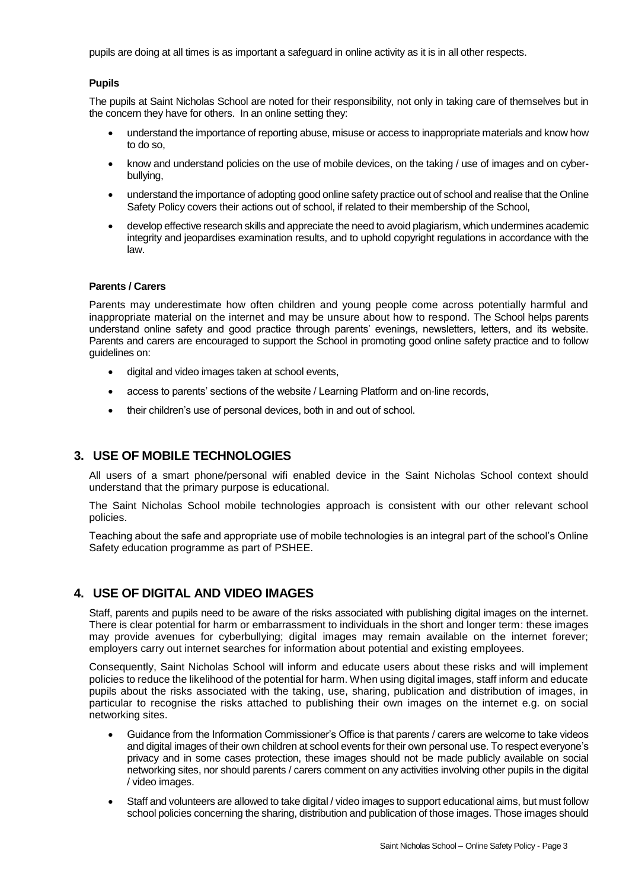pupils are doing at all times is as important a safeguard in online activity as it is in all other respects.

#### **Pupils**

The pupils at Saint Nicholas School are noted for their responsibility, not only in taking care of themselves but in the concern they have for others. In an online setting they:

- understand the importance of reporting abuse, misuse or access to inappropriate materials and know how to do so,
- know and understand policies on the use of mobile devices, on the taking / use of images and on cyberbullying,
- understand the importance of adopting good online safety practice out of school and realise that the Online Safety Policy covers their actions out of school, if related to their membership of the School,
- develop effective research skills and appreciate the need to avoid plagiarism, which undermines academic integrity and jeopardises examination results, and to uphold copyright regulations in accordance with the law.

#### **Parents / Carers**

Parents may underestimate how often children and young people come across potentially harmful and inappropriate material on the internet and may be unsure about how to respond. The School helps parents understand online safety and good practice through parents' evenings, newsletters, letters, and its website. Parents and carers are encouraged to support the School in promoting good online safety practice and to follow guidelines on:

- digital and video images taken at school events,
- access to parents' sections of the website / Learning Platform and on-line records,
- their children's use of personal devices, both in and out of school.

#### **3. USE OF MOBILE TECHNOLOGIES**

All users of a smart phone/personal wifi enabled device in the Saint Nicholas School context should understand that the primary purpose is educational.

The Saint Nicholas School mobile technologies approach is consistent with our other relevant school policies.

Teaching about the safe and appropriate use of mobile technologies is an integral part of the school's Online Safety education programme as part of PSHEE.

## **4. USE OF DIGITAL AND VIDEO IMAGES**

Staff, parents and pupils need to be aware of the risks associated with publishing digital images on the internet. There is clear potential for harm or embarrassment to individuals in the short and longer term: these images may provide avenues for cyberbullying; digital images may remain available on the internet forever; employers carry out internet searches for information about potential and existing employees.

Consequently, Saint Nicholas School will inform and educate users about these risks and will implement policies to reduce the likelihood of the potential for harm. When using digital images, staff inform and educate pupils about the risks associated with the taking, use, sharing, publication and distribution of images, in particular to recognise the risks attached to publishing their own images on the internet e.g. on social networking sites.

- Guidance from the Information Commissioner's Office is that parents / carers are welcome to take videos and digital images of their own children at school events for their own personal use. To respect everyone's privacy and in some cases protection, these images should not be made publicly available on social networking sites, nor should parents / carers comment on any activities involving other pupils in the digital / video images.
- Staff and volunteers are allowed to take digital / video images to support educational aims, but must follow school policies concerning the sharing, distribution and publication of those images. Those images should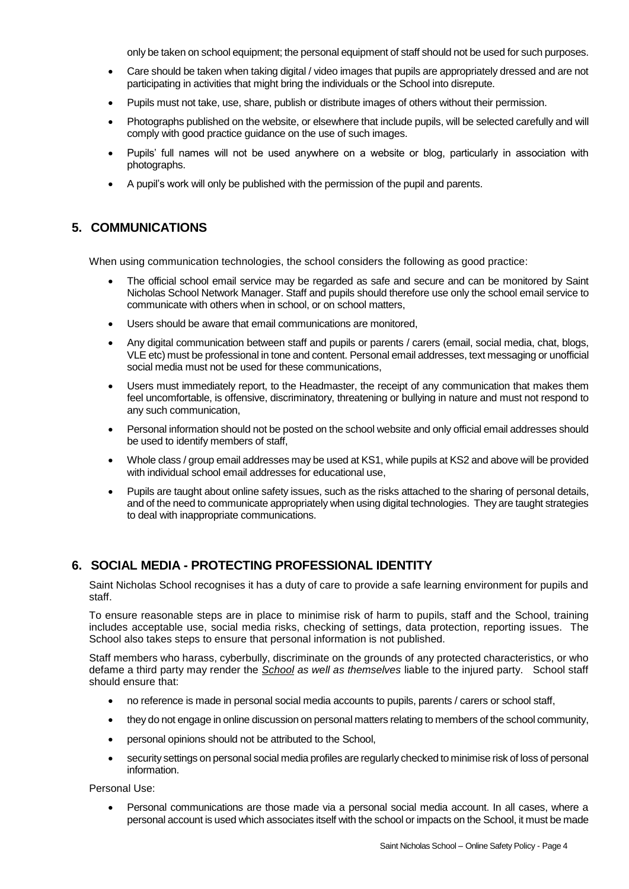only be taken on school equipment; the personal equipment of staff should not be used for such purposes.

- Care should be taken when taking digital / video images that pupils are appropriately dressed and are not participating in activities that might bring the individuals or the School into disrepute.
- Pupils must not take, use, share, publish or distribute images of others without their permission.
- Photographs published on the website, or elsewhere that include pupils, will be selected carefully and will comply with good practice guidance on the use of such images.
- Pupils' full names will not be used anywhere on a website or blog, particularly in association with photographs.
- A pupil's work will only be published with the permission of the pupil and parents.

## **5. COMMUNICATIONS**

When using communication technologies, the school considers the following as good practice:

- The official school email service may be regarded as safe and secure and can be monitored by Saint Nicholas School Network Manager. Staff and pupils should therefore use only the school email service to communicate with others when in school, or on school matters,
- Users should be aware that email communications are monitored,
- Any digital communication between staff and pupils or parents / carers (email, social media, chat, blogs, VLE etc) must be professional in tone and content. Personal email addresses, text messaging or unofficial social media must not be used for these communications,
- Users must immediately report, to the Headmaster, the receipt of any communication that makes them feel uncomfortable, is offensive, discriminatory, threatening or bullying in nature and must not respond to any such communication,
- Personal information should not be posted on the school website and only official email addresses should be used to identify members of staff,
- Whole class / group email addresses may be used at KS1, while pupils at KS2 and above will be provided with individual school email addresses for educational use,
- Pupils are taught about online safety issues, such as the risks attached to the sharing of personal details, and of the need to communicate appropriately when using digital technologies. They are taught strategies to deal with inappropriate communications.

## **6. SOCIAL MEDIA - PROTECTING PROFESSIONAL IDENTITY**

Saint Nicholas School recognises it has a duty of care to provide a safe learning environment for pupils and staff.

To ensure reasonable steps are in place to minimise risk of harm to pupils, staff and the School, training includes acceptable use, social media risks, checking of settings, data protection, reporting issues. The School also takes steps to ensure that personal information is not published.

Staff members who harass, cyberbully, discriminate on the grounds of any protected characteristics, or who defame a third party may render the *School as well as themselves* liable to the injured party. School staff should ensure that:

- no reference is made in personal social media accounts to pupils, parents / carers or school staff,
- they do not engage in online discussion on personal matters relating to members of the school community,
- personal opinions should not be attributed to the School,
- security settings on personal social media profiles are regularly checked to minimise risk of loss of personal information.

Personal Use:

 Personal communications are those made via a personal social media account. In all cases, where a personal account is used which associates itself with the school or impacts on the School, it must be made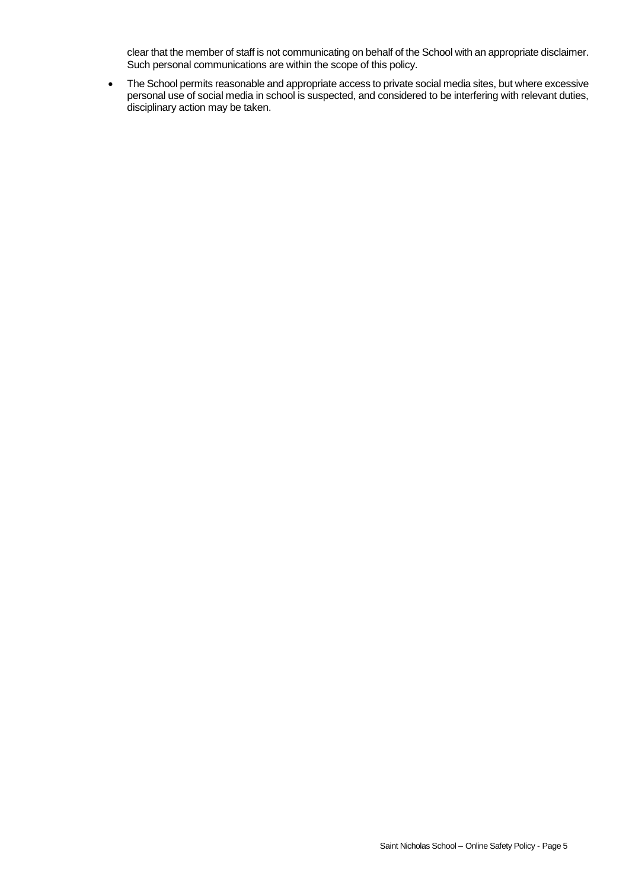clear that the member of staff is not communicating on behalf of the School with an appropriate disclaimer. Such personal communications are within the scope of this policy.

• The School permits reasonable and appropriate access to private social media sites, but where excessive personal use of social media in school is suspected, and considered to be interfering with relevant duties, disciplinary action may be taken.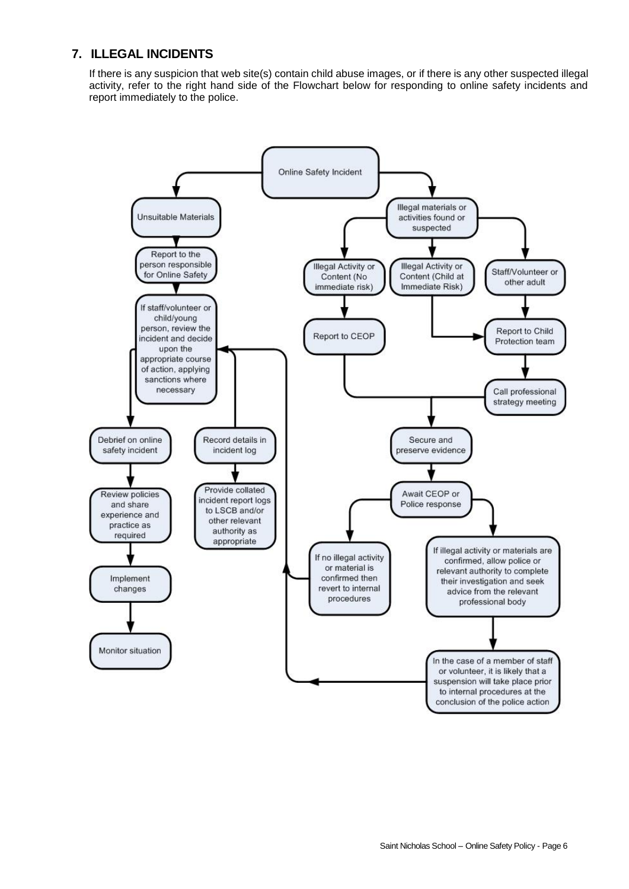## **7. ILLEGAL INCIDENTS**

If there is any suspicion that web site(s) contain child abuse images, or if there is any other suspected illegal activity, refer to the right hand side of the Flowchart below for responding to online safety incidents and report immediately to the police.